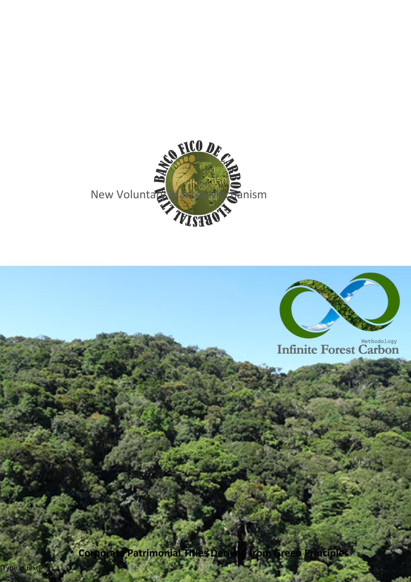

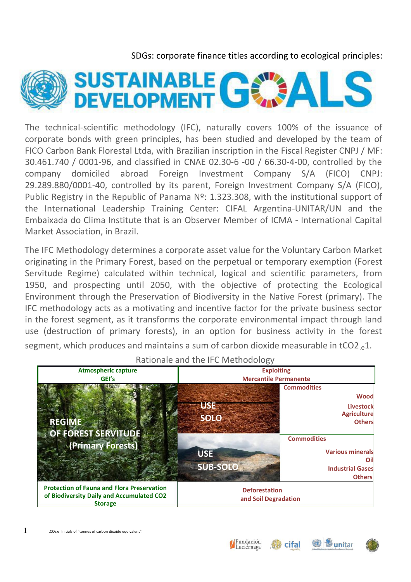SDGs: corporate finance titles according to ecological principles:



The technical-scientific methodology (IFC), naturally covers 100% of the issuance of corporate bonds with green principles, has been studied and developed by the team of FICO Carbon Bank Florestal Ltda, with Brazilian inscription in the Fiscal Register CNPJ / MF: 30.461.740 / 0001-96, and classified in CNAE 02.30-6 -00 / 66.30-4-00, controlled by the company domiciled abroad Foreign Investment Company S/A (FICO) CNPJ: 29.289.880/0001-40, controlled by its parent, Foreign Investment Company S/A (FICO), Public Registry in the Republic of Panama Nº: 1.323.308, with the institutional support of the International Leadership Training Center: CIFAL Argentina-UNITAR/UN and the Embaixada do Clima Institute that is an Observer Member of ICMA - International Capital Market Association, in Brazil.

The IFC Methodology determines a corporate asset value for the Voluntary Carbon Market originating in the Primary Forest, based on the perpetual or temporary exemption (Forest Servitude Regime) calculated within technical, logical and scientific parameters, from 1950, and prospecting until 2050, with the objective of protecting the Ecological Environment through the Preservation of Biodiversity in the Native Forest (primary). The IFC methodology acts as a motivating and incentive factor for the private business sector in the forest segment, as it transforms the corporate environmental impact through land use (destruction of primary forests), in an option for business activity in the forest segment, which produces and maintains a sum of carbon dioxide measurable in tCO2  $\triangle 1$ .

| <b>Atmospheric capture</b><br>GEI's                                                                              | <b>Exploiting</b><br><b>Mercantile Permanente</b>   |                                                                                                                                                                                          |  |
|------------------------------------------------------------------------------------------------------------------|-----------------------------------------------------|------------------------------------------------------------------------------------------------------------------------------------------------------------------------------------------|--|
| <b>REGIME</b><br>OF FOREST SERVITUDE<br>(Primary Forests)                                                        | USE<br><b>SOLO</b><br><b>USE</b><br><b>SUB-SOLO</b> | <b>Commodities</b><br><b>Wood</b><br>Livestock<br><b>Agriculture</b><br><b>Others</b><br><b>Commodities</b><br><b>Various minerals</b><br>Ωi<br><b>Industrial Gases</b><br><b>Others</b> |  |
| <b>Protection of Fauna and Flora Preservation</b><br>of Biodiversity Daily and Accumulated CO2<br><b>Storage</b> | <b>Deforestation</b><br>and Soil Degradation        |                                                                                                                                                                                          |  |

Rationale and the IFC Methodology



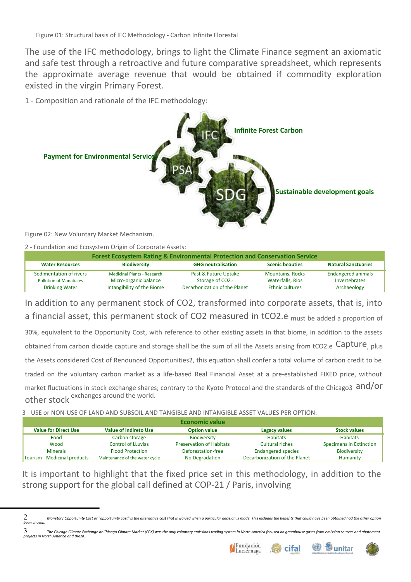The use of the IFC methodology, brings to light the Climate Finance segment an axiomatic and safe test through a retroactive and future comparative spreadsheet, which represents the approximate average revenue that would be obtained if commodity exploration existed in the virgin Primary Forest.

1 - Composition and rationale of the IFC methodology:



Figure 02: New Voluntary Market Mechanism.

2 - Foundation and Ecosystem Origin of Corporate Assets:

| <b>Forest Ecosystem Rating &amp; Environmental Protection and Conservation Service</b> |                                                             |                                                      |                                             |                                            |  |  |  |
|----------------------------------------------------------------------------------------|-------------------------------------------------------------|------------------------------------------------------|---------------------------------------------|--------------------------------------------|--|--|--|
| <b>Water Resources</b>                                                                 | <b>Biodiversity</b>                                         | <b>GHG neutralisation</b>                            | <b>Scenic beauties</b>                      | <b>Natural Sanctuaries</b>                 |  |  |  |
| Sedimentation of rivers<br><b>Pollution of Manatiales</b>                              | <b>Medicinal Plants - Research</b><br>Micro-organic balance | Past & Future Uptake<br>Storage of CO <sub>2.e</sub> | <b>Mountains, Rocks</b><br>Waterfalls, Rios | <b>Endangered animals</b><br>Invertebrates |  |  |  |
| <b>Drinking Water</b>                                                                  | Intangibility of the Biome                                  | Decarbonization of the Planet                        | <b>Ethnic cultures</b>                      | Archaeology                                |  |  |  |

In addition to any permanent stock of CO2, transformed into corporate assets, that is, into a financial asset, this permanent stock of CO2 measured in tCO2.e must be added a proportion of 30%, equivalent to the Opportunity Cost, with reference to other existing assets in that biome, in addition to the assets obtained from carbon dioxide capture and storage shall be the sum of all the Assets arising from tCO2.e Capture, plus the Assets considered Cost of Renounced Opportunities2, this equation shall confer a total volume of carbon credit to be traded on the voluntary carbon market as a life-based Real Financial Asset at a pre-established FIXED price, without market fluctuations in stock exchange shares; contrary to the Kyoto Protocol and the standards of the Chicago3 and/Or other stock exchanges around the world.

3 - USE or NON-USE OF LAND AND SUBSOIL AND TANGIBLE AND INTANGIBLE ASSET VALUES PER OPTION:

| <b>Economic value</b>        |                                |                                 |                               |                         |  |  |
|------------------------------|--------------------------------|---------------------------------|-------------------------------|-------------------------|--|--|
| <b>Value for Direct Use</b>  | <b>Value of Indireto Use</b>   | <b>Option value</b>             | <b>Legacy values</b>          | <b>Stock values</b>     |  |  |
| Food                         | Carbon storage                 | Biodiversity                    | <b>Habitats</b>               | <b>Habitats</b>         |  |  |
| Wood                         | <b>Control of LLuvias</b>      | <b>Preservation of Habitats</b> | Cultural riches               | Specimens in Extinction |  |  |
| <b>Minerals</b>              | <b>Flood Protection</b>        | Deforestation-free              | <b>Endangered species</b>     | Biodiversity            |  |  |
| Tourism - Medicinal products | Maintenance of the water cycle | No Degradation                  | Decarbonization of the Planet | Humanity                |  |  |

It is important to highlight that the fixed price set in this methodology, in addition to the strong support for the global call defined at COP-21 / Paris, involving

 $3\,$  The Chicago Climate Exchange or Chicago Climate Market (CCX) was the only voluntary emissions trading system in North America focused on greenhouse gases from emission sources and abatement *projects in North America and Brazil.*





cifal



<sup>2</sup> *Monetary Opportunity Cost or "opportunity cost" is the alternative cost that is waived when a particular decision is made. This includes the benefits that could have been obtained had the other option been chosen.*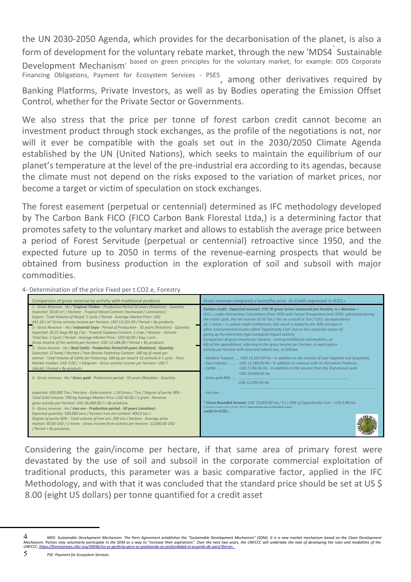the UN 2030-2050 Agenda, which provides for the decarbonisation of the planet, is also a form of development for the voluntary rebate market, through the new 'MDS4<sup>'</sup> Sustainable Development Mechanism, based on green principles for the voluntary market, for example: ODS Corporate Financing Obligations, Payment for Ecosystem Services - PSE5, among other derivatives required by

Banking Platforms, Private Investors, as well as by Bodies operating the Emission Offset Control, whether for the Private Sector or Governments.

We also stress that the price per tonne of forest carbon credit cannot become an investment product through stock exchanges, as the profile of the negotiations is not, nor will it ever be compatible with the goals set out in the 2030/2050 Climate Agenda established by the UN (United Nations), which seeks to maintain the equilibrium of our planet's temperature at the level of the pre-industrial era according to its agendas, because the climate must not depend on the risks exposed to the variation of market prices, nor become a target or victim of speculation on stock exchanges.

The forest easement (perpetual or centennial) determined as IFC methodology developed by The Carbon Bank FICO (FICO Carbon Bank Florestal Ltda,) is a determining factor that promotes safety to the voluntary market and allows to establish the average price between a period of Forest Servitude (perpetual or centennial) retroactive since 1950, and the expected future up to 2050 in terms of the revenue-earning prospects that would be obtained from business production in the exploration of soil and subsoil with major commodities.

4- Determination of the price Fixed per t.CO2.e, Forestry



Considering the gain/income per hectare, if that same area of primary forest were devastated by the use of soil and subsoil in the corporate commercial exploitation of traditional products, this parameter was a basic comparative factor, applied in the IFC Methodology, and with that it was concluded that the standard price should be set at US \$ 8.00 (eight US dollars) per tonne quantified for a credit asset

4 *MDS: Sustainable Development Mechanism. The Paris Agreement establishes the "Sustainable Development Mechanism" (SDM). It is a new market mechanism based on the Clean Development Mechanism. Parties may voluntarily participate in the SDM as a way to "increase their aspirations". Over the next two years, the UNFCCC will undertake the task of developing the rules and modalities of the UNFCCC[. https://forestsnews.cifor.org/39046/no-es-perfecto-pero-es-analizando-en-profundidad-el-acuerdo-de-paris?fnl=en .](https://forestsnews.cifor.org/39046/no-es-perfecto-pero-es-analizando-en-profundidad-el-acuerdo-de-paris?fnl=en)*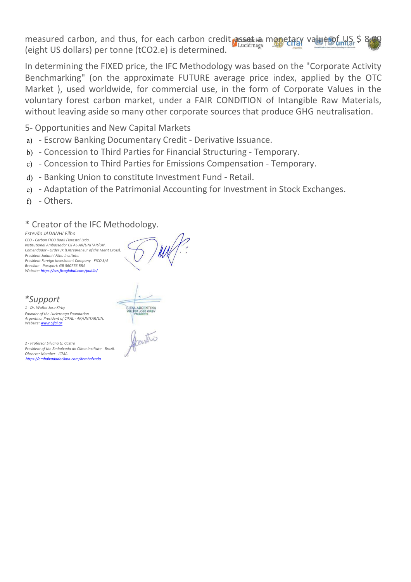measured carbon, and thus, for each carbon credit assetia monetary value of US \$ 8. (eight US dollars) per tonne (tCO2.e) is determined.

In determining the FIXED price, the IFC Methodology was based on the "Corporate Activity Benchmarking" (on the approximate FUTURE average price index, applied by the OTC Market ), used worldwide, for commercial use, in the form of Corporate Values in the voluntary forest carbon market, under a FAIR CONDITION of Intangible Raw Materials, without leaving aside so many other corporate sources that produce GHG neutralisation.

5- Opportunities and New Capital Markets

- a) Escrow Banking Documentary Credit Derivative Issuance.
- b) Concession to Third Parties for Financial Structuring Temporary.
- c) Concession to Third Parties for Emissions Compensation Temporary.
- d) Banking Union to constitute Investment Fund Retail.
- e) Adaptation of the Patrimonial Accounting for Investment in Stock Exchanges.
- f) Others.

## \* Creator of the IFC Methodology.

*Estevão JADANHI Filho CEO - Carbon FICO Bank Florestal Ltda. Institutional Ambassador CIFAL-AR/UNITAR/UN. Comendador - Order JK (Entrepreneur of the Merit Cross). President Jadanhi Filho Institute. President Foreign Investment Company - FICO S/A Brazilian - Passport: GB 560776 BRA Website:<https://ccs.ficoglobal.com/public/>*



## *\*Support*

*1 - Dr. Walter Jose Kirby Founder of the Luciernaga Foundation - Argentina. President of CIFAL - AR/UNITAR/UN. Website: [www.cifal.ar](http://www.cifal.ar/)*

*2 - Professor Silvana G. Castro President of the Embaixada do Clima Institute - Brazil. Observer Member - ICMA [https://embaixadadoclima.com/#embaixada](#page-4-0)*

<span id="page-4-0"></span>